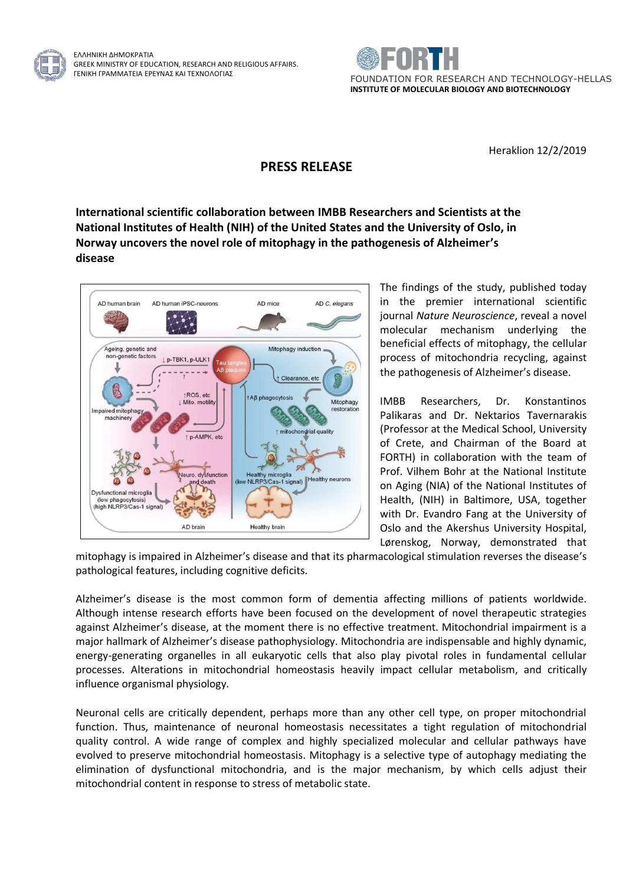

ΕΛΛΗΝΙΚΗ ΔΗΜΟΚΡΑΤΙΑ GREEK MINISTRY OF EDUCATION, RESEARCH AND RELIGIOUS AFFAIRS.



Heraklion 12/2/2019

## **PRESS RELEASE**

**International scientific collaboration between IMBB Researchers and Scientists at the National Institutes of Health (NIH) of the United States and the University of Oslo, in Norway uncovers the novel role of mitophagy in the pathogenesis of Alzheimer's disease**



The findings of the study, published today in the premier international scientific journal *Nature Neuroscience*, reveal a novel molecular mechanism underlying the beneficial effects of mitophagy, the cellular process of mitochondria recycling, against the pathogenesis of Alzheimer's disease.

IMBB Researchers, Dr. Konstantinos Palikaras and Dr. Nektarios Tavernarakis (Professor at the Medical School, University of Crete, and Chairman of the Board at FORTH) in collaboration with the team of Prof. Vilhem Bohr at the National Institute on Aging (NIA) of the National Institutes of Health, (NIH) in Baltimore, USA, together with Dr. Evandro Fang at the University of Oslo and the Akershus University Hospital, Lørenskog, Norway, demonstrated that

mitophagy is impaired in Alzheimer's disease and that its pharmacological stimulation reverses the disease's pathological features, including cognitive deficits.

Alzheimer's disease is the most common form of dementia affecting millions of patients worldwide. Although intense research efforts have been focused on the development of novel therapeutic strategies against Alzheimer's disease, at the moment there is no effective treatment. Mitochondrial impairment is a major hallmark of Alzheimer's disease pathophysiology. Mitochondria are indispensable and highly dynamic, energy-generating organelles in all eukaryotic cells that also play pivotal roles in fundamental cellular processes. Alterations in mitochondrial homeostasis heavily impact cellular metabolism, and critically influence organismal physiology.

Neuronal cells are critically dependent, perhaps more than any other cell type, on proper mitochondrial function. Thus, maintenance of neuronal homeostasis necessitates a tight regulation of mitochondrial quality control. A wide range of complex and highly specialized molecular and cellular pathways have evolved to preserve mitochondrial homeostasis. Mitophagy is a selective type of autophagy mediating the elimination of dysfunctional mitochondria, and is the major mechanism, by which cells adjust their mitochondrial content in response to stress of metabolic state.